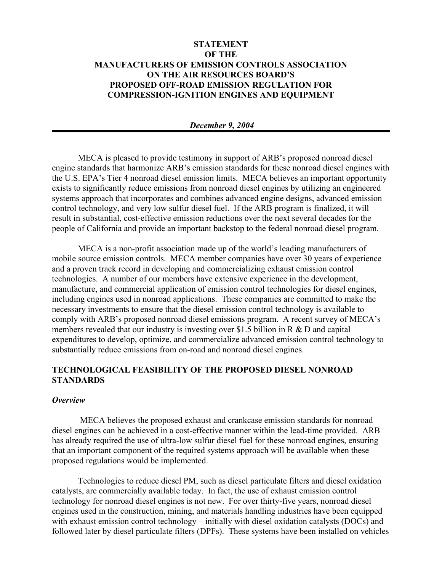# **STATEMENT OF THE MANUFACTURERS OF EMISSION CONTROLS ASSOCIATION ON THE AIR RESOURCES BOARD'S PROPOSED OFF-ROAD EMISSION REGULATION FOR COMPRESSION-IGNITION ENGINES AND EQUIPMENT**

## *December 9, 2004*

MECA is pleased to provide testimony in support of ARB's proposed nonroad diesel engine standards that harmonize ARB's emission standards for these nonroad diesel engines with the U.S. EPA's Tier 4 nonroad diesel emission limits. MECA believes an important opportunity exists to significantly reduce emissions from nonroad diesel engines by utilizing an engineered systems approach that incorporates and combines advanced engine designs, advanced emission control technology, and very low sulfur diesel fuel. If the ARB program is finalized, it will result in substantial, cost-effective emission reductions over the next several decades for the people of California and provide an important backstop to the federal nonroad diesel program.

MECA is a non-profit association made up of the world's leading manufacturers of mobile source emission controls. MECA member companies have over 30 years of experience and a proven track record in developing and commercializing exhaust emission control technologies. A number of our members have extensive experience in the development, manufacture, and commercial application of emission control technologies for diesel engines, including engines used in nonroad applications. These companies are committed to make the necessary investments to ensure that the diesel emission control technology is available to comply with ARB's proposed nonroad diesel emissions program. A recent survey of MECA's members revealed that our industry is investing over \$1.5 billion in R & D and capital expenditures to develop, optimize, and commercialize advanced emission control technology to substantially reduce emissions from on-road and nonroad diesel engines.

# **TECHNOLOGICAL FEASIBILITY OF THE PROPOSED DIESEL NONROAD STANDARDS**

#### *Overview*

 MECA believes the proposed exhaust and crankcase emission standards for nonroad diesel engines can be achieved in a cost-effective manner within the lead-time provided. ARB has already required the use of ultra-low sulfur diesel fuel for these nonroad engines, ensuring that an important component of the required systems approach will be available when these proposed regulations would be implemented.

Technologies to reduce diesel PM, such as diesel particulate filters and diesel oxidation catalysts, are commercially available today. In fact, the use of exhaust emission control technology for nonroad diesel engines is not new. For over thirty-five years, nonroad diesel engines used in the construction, mining, and materials handling industries have been equipped with exhaust emission control technology – initially with diesel oxidation catalysts (DOCs) and followed later by diesel particulate filters (DPFs). These systems have been installed on vehicles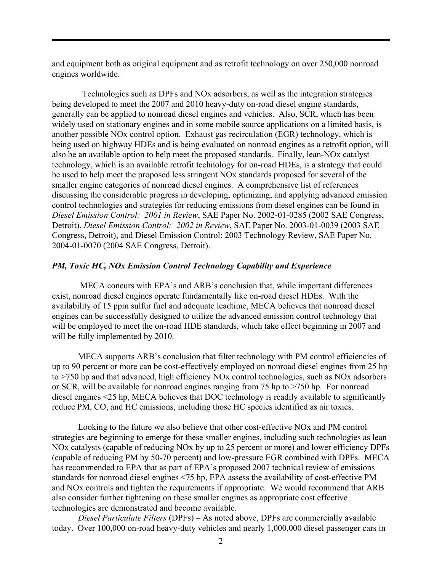and equipment both as original equipment and as retrofit technology on over 250,000 nonroad engines worldwide.

 Technologies such as DPFs and NOx adsorbers, as well as the integration strategies being developed to meet the 2007 and 2010 heavy-duty on-road diesel engine standards, generally can be applied to nonroad diesel engines and vehicles. Also, SCR, which has been widely used on stationary engines and in some mobile source applications on a limited basis, is another possible NOx control option. Exhaust gas recirculation (EGR) technology, which is being used on highway HDEs and is being evaluated on nonroad engines as a retrofit option, will also be an available option to help meet the proposed standards. Finally, lean-NOx catalyst technology, which is an available retrofit technology for on-road HDEs, is a strategy that could be used to help meet the proposed less stringent NOx standards proposed for several of the smaller engine categories of nonroad diesel engines. A comprehensive list of references discussing the considerable progress in developing, optimizing, and applying advanced emission control technologies and strategies for reducing emissions from diesel engines can be found in *Diesel Emission Control: 2001 in Review*, SAE Paper No. 2002-01-0285 (2002 SAE Congress, Detroit), *Diesel Emission Control: 2002 in Review*, SAE Paper No. 2003-01-0039 (2003 SAE Congress, Detroit), and Diesel Emission Control: 2003 Technology Review, SAE Paper No. 2004-01-0070 (2004 SAE Congress, Detroit).

# *PM, Toxic HC, NOx Emission Control Technology Capability and Experience*

 MECA concurs with EPA's and ARB's conclusion that, while important differences exist, nonroad diesel engines operate fundamentally like on-road diesel HDEs. With the availability of 15 ppm sulfur fuel and adequate leadtime, MECA believes that nonroad diesel engines can be successfully designed to utilize the advanced emission control technology that will be employed to meet the on-road HDE standards, which take effect beginning in 2007 and will be fully implemented by 2010.

MECA supports ARB's conclusion that filter technology with PM control efficiencies of up to 90 percent or more can be cost-effectively employed on nonroad diesel engines from 25 hp to >750 hp and that advanced, high efficiency NOx control technologies, such as NOx adsorbers or SCR, will be available for nonroad engines ranging from 75 hp to >750 hp. For nonroad diesel engines <25 hp, MECA believes that DOC technology is readily available to significantly reduce PM, CO, and HC emissions, including those HC species identified as air toxics.

Looking to the future we also believe that other cost-effective NOx and PM control strategies are beginning to emerge for these smaller engines, including such technologies as lean NOx catalysts (capable of reducing NOx by up to 25 percent or more) and lower efficiency DPFs (capable of reducing PM by 50-70 percent) and low-pressure EGR combined with DPFs. MECA has recommended to EPA that as part of EPA's proposed 2007 technical review of emissions standards for nonroad diesel engines <75 hp, EPA assess the availability of cost-effective PM and NOx controls and tighten the requirements if appropriate. We would recommend that ARB also consider further tightening on these smaller engines as appropriate cost effective technologies are demonstrated and become available.

*Diesel Particulate Filters* (DPFs) – As noted above, DPFs are commercially available today. Over 100,000 on-road heavy-duty vehicles and nearly 1,000,000 diesel passenger cars in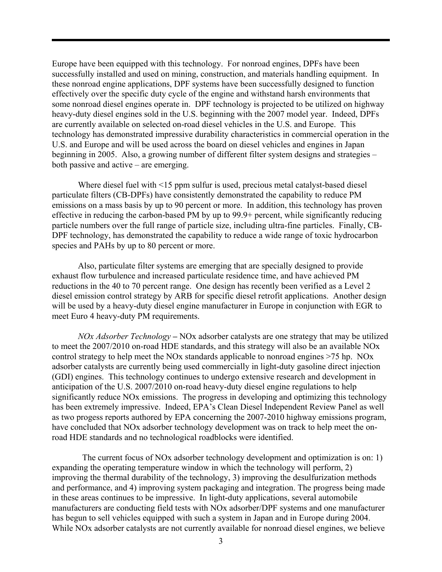Europe have been equipped with this technology. For nonroad engines, DPFs have been successfully installed and used on mining, construction, and materials handling equipment. In these nonroad engine applications, DPF systems have been successfully designed to function effectively over the specific duty cycle of the engine and withstand harsh environments that some nonroad diesel engines operate in. DPF technology is projected to be utilized on highway heavy-duty diesel engines sold in the U.S. beginning with the 2007 model year. Indeed, DPFs are currently available on selected on-road diesel vehicles in the U.S. and Europe. This technology has demonstrated impressive durability characteristics in commercial operation in the U.S. and Europe and will be used across the board on diesel vehicles and engines in Japan beginning in 2005. Also, a growing number of different filter system designs and strategies – both passive and active – are emerging.

Where diesel fuel with <15 ppm sulfur is used, precious metal catalyst-based diesel particulate filters (CB-DPFs) have consistently demonstrated the capability to reduce PM emissions on a mass basis by up to 90 percent or more. In addition, this technology has proven effective in reducing the carbon-based PM by up to 99.9+ percent, while significantly reducing particle numbers over the full range of particle size, including ultra-fine particles. Finally, CB-DPF technology, has demonstrated the capability to reduce a wide range of toxic hydrocarbon species and PAHs by up to 80 percent or more.

Also, particulate filter systems are emerging that are specially designed to provide exhaust flow turbulence and increased particulate residence time, and have achieved PM reductions in the 40 to 70 percent range. One design has recently been verified as a Level 2 diesel emission control strategy by ARB for specific diesel retrofit applications. Another design will be used by a heavy-duty diesel engine manufacturer in Europe in conjunction with EGR to meet Euro 4 heavy-duty PM requirements.

*NOx Adsorber Technology –* NOx adsorber catalysts are one strategy that may be utilized to meet the 2007/2010 on-road HDE standards, and this strategy will also be an available NOx control strategy to help meet the NOx standards applicable to nonroad engines >75 hp. NOx adsorber catalysts are currently being used commercially in light-duty gasoline direct injection (GDI) engines. This technology continues to undergo extensive research and development in anticipation of the U.S. 2007/2010 on-road heavy-duty diesel engine regulations to help significantly reduce NOx emissions. The progress in developing and optimizing this technology has been extremely impressive. Indeed, EPA's Clean Diesel Independent Review Panel as well as two progess reports authored by EPA concerning the 2007-2010 highway emissions program, have concluded that NOx adsorber technology development was on track to help meet the onroad HDE standards and no technological roadblocks were identified.

 The current focus of NOx adsorber technology development and optimization is on: 1) expanding the operating temperature window in which the technology will perform, 2) improving the thermal durability of the technology, 3) improving the desulfurization methods and performance, and 4) improving system packaging and integration. The progress being made in these areas continues to be impressive. In light-duty applications, several automobile manufacturers are conducting field tests with NOx adsorber/DPF systems and one manufacturer has begun to sell vehicles equipped with such a system in Japan and in Europe during 2004. While NOx adsorber catalysts are not currently available for nonroad diesel engines, we believe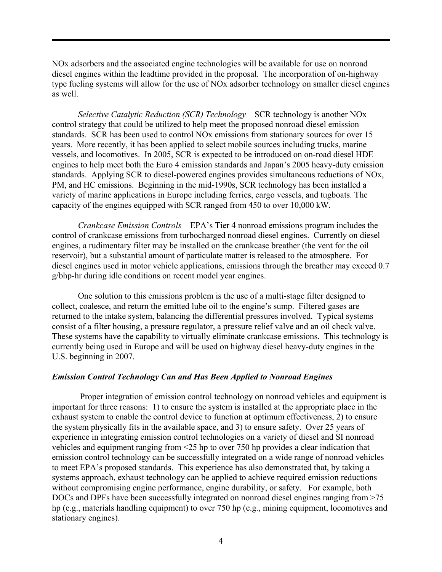NOx adsorbers and the associated engine technologies will be available for use on nonroad diesel engines within the leadtime provided in the proposal. The incorporation of on-highway type fueling systems will allow for the use of NOx adsorber technology on smaller diesel engines as well.

*Selective Catalytic Reduction (SCR) Technology* – SCR technology is another NOx control strategy that could be utilized to help meet the proposed nonroad diesel emission standards. SCR has been used to control NOx emissions from stationary sources for over 15 years. More recently, it has been applied to select mobile sources including trucks, marine vessels, and locomotives. In 2005, SCR is expected to be introduced on on-road diesel HDE engines to help meet both the Euro 4 emission standards and Japan's 2005 heavy-duty emission standards. Applying SCR to diesel-powered engines provides simultaneous reductions of NOx, PM, and HC emissions. Beginning in the mid-1990s, SCR technology has been installed a variety of marine applications in Europe including ferries, cargo vessels, and tugboats. The capacity of the engines equipped with SCR ranged from 450 to over 10,000 kW.

*Crankcase Emission Controls* – EPA's Tier 4 nonroad emissions program includes the control of crankcase emissions from turbocharged nonroad diesel engines. Currently on diesel engines, a rudimentary filter may be installed on the crankcase breather (the vent for the oil reservoir), but a substantial amount of particulate matter is released to the atmosphere. For diesel engines used in motor vehicle applications, emissions through the breather may exceed 0.7 g/bhp-hr during idle conditions on recent model year engines.

One solution to this emissions problem is the use of a multi-stage filter designed to collect, coalesce, and return the emitted lube oil to the engine's sump. Filtered gases are returned to the intake system, balancing the differential pressures involved. Typical systems consist of a filter housing, a pressure regulator, a pressure relief valve and an oil check valve. These systems have the capability to virtually eliminate crankcase emissions. This technology is currently being used in Europe and will be used on highway diesel heavy-duty engines in the U.S. beginning in 2007.

## *Emission Control Technology Can and Has Been Applied to Nonroad Engines*

 Proper integration of emission control technology on nonroad vehicles and equipment is important for three reasons: 1) to ensure the system is installed at the appropriate place in the exhaust system to enable the control device to function at optimum effectiveness, 2) to ensure the system physically fits in the available space, and 3) to ensure safety. Over 25 years of experience in integrating emission control technologies on a variety of diesel and SI nonroad vehicles and equipment ranging from <25 hp to over 750 hp provides a clear indication that emission control technology can be successfully integrated on a wide range of nonroad vehicles to meet EPA's proposed standards. This experience has also demonstrated that, by taking a systems approach, exhaust technology can be applied to achieve required emission reductions without compromising engine performance, engine durability, or safety. For example, both DOCs and DPFs have been successfully integrated on nonroad diesel engines ranging from >75 hp (e.g., materials handling equipment) to over 750 hp (e.g., mining equipment, locomotives and stationary engines).